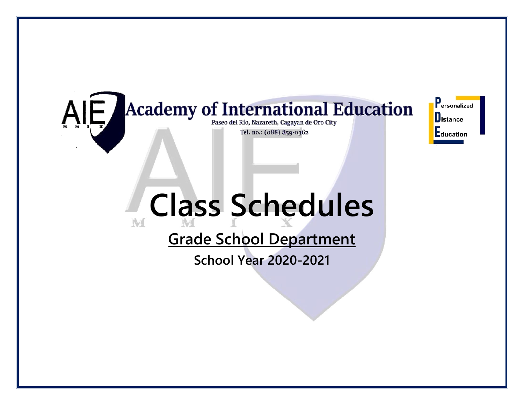#### **Academy of International Education** AIE/ Paseo del Rio, Nazareth, Cagayan de Oro City Tel. no.: (088) 859-0362

**P**ersonalized **D**istance Education

# **Class Schedules**  Wf

# **Grade School Department**

**School Year 2020-2021**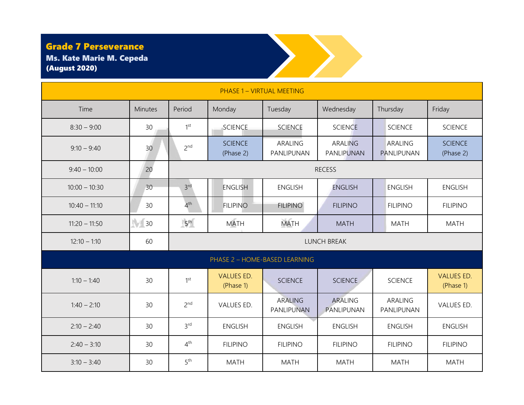### Ms. Kate Marie M. Cepeda (August 2020)

| <b>Grade 7 Perseverance</b><br><b>Ms. Kate Marie M. Cepeda</b><br><b>(August 2020)</b> |                  |                    |                                |                              |                              |                       |                                |  |  |
|----------------------------------------------------------------------------------------|------------------|--------------------|--------------------------------|------------------------------|------------------------------|-----------------------|--------------------------------|--|--|
| <b>PHASE 1 - VIRTUAL MEETING</b>                                                       |                  |                    |                                |                              |                              |                       |                                |  |  |
| Time                                                                                   | Minutes          | Period             | Monday                         | Tuesday                      | Wednesday                    | Thursday              | Friday                         |  |  |
| $8:30 - 9:00$                                                                          | 30               | 1 <sup>st</sup>    | <b>SCIENCE</b>                 | <b>SCIENCE</b>               | <b>SCIENCE</b>               | <b>SCIENCE</b>        | <b>SCIENCE</b>                 |  |  |
| $9:10 - 9:40$                                                                          | 30               | 2 <sup>nd</sup>    | <b>SCIENCE</b><br>(Phase 2)    | ARALING<br>PANLIPUNAN        | <b>ARALING</b><br>PANLIPUNAN | ARALING<br>PANLIPUNAN | <b>SCIENCE</b><br>(Phase 2)    |  |  |
| $9:40 - 10:00$                                                                         | 20               | <b>RECESS</b>      |                                |                              |                              |                       |                                |  |  |
| $10:00 - 10:30$                                                                        | 30               | 3 <sup>rd</sup>    | <b>ENGLISH</b>                 | <b>ENGLISH</b>               | <b>ENGLISH</b>               | <b>ENGLISH</b>        | <b>ENGLISH</b>                 |  |  |
| $10:40 - 11:10$                                                                        | 30               | 4 <sup>th</sup>    | <b>FILIPINO</b>                | <b>FILIPINO</b>              | <b>FILIPINO</b>              | <b>FILIPINO</b>       | <b>FILIPINO</b>                |  |  |
| $11:20 - 11:50$                                                                        | $\frac{1}{2}$ 30 | 5 <sup>th</sup>    | <b>MATH</b>                    | <b>MATH</b>                  | <b>MATH</b>                  | <b>MATH</b>           | <b>MATH</b>                    |  |  |
| $12:10 - 1:10$                                                                         | 60               | <b>LUNCH BREAK</b> |                                |                              |                              |                       |                                |  |  |
|                                                                                        |                  |                    | PHASE 2 - HOME-BASED LEARNING  |                              |                              |                       |                                |  |  |
| $1:10 - 1:40$                                                                          | 30               | 1 <sup>st</sup>    | <b>VALUES ED.</b><br>(Phase 1) | <b>SCIENCE</b>               | <b>SCIENCE</b>               | <b>SCIENCE</b>        | <b>VALUES ED.</b><br>(Phase 1) |  |  |
| $1:40 - 2:10$                                                                          | 30               | 2 <sup>nd</sup>    | VALUES ED.                     | <b>ARALING</b><br>PANLIPUNAN | <b>ARALING</b><br>PANLIPUNAN | ARALING<br>PANLIPUNAN | VALUES ED.                     |  |  |
| $2:10 - 2:40$                                                                          | 30               | 3 <sup>rd</sup>    | <b>ENGLISH</b>                 | <b>ENGLISH</b>               | <b>ENGLISH</b>               | <b>ENGLISH</b>        | <b>ENGLISH</b>                 |  |  |
| $2:40 - 3:10$                                                                          | 30               | 4 <sup>th</sup>    | <b>FILIPINO</b>                | <b>FILIPINO</b>              | <b>FILIPINO</b>              | <b>FILIPINO</b>       | <b>FILIPINO</b>                |  |  |
| $3:10 - 3:40$                                                                          | 30               | 5 <sup>th</sup>    | <b>MATH</b>                    | <b>MATH</b>                  | <b>MATH</b>                  | <b>MATH</b>           | <b>MATH</b>                    |  |  |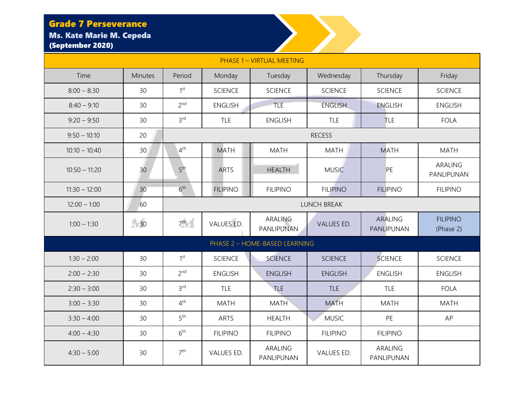### Grade 7 Perseverance Ms. Kate Marie M. Cepeda

# (September 2020)

| <b>PHASE 1 - VIRTUAL MEETING</b> |         |                 |                 |                               |                    |                              |                              |  |  |
|----------------------------------|---------|-----------------|-----------------|-------------------------------|--------------------|------------------------------|------------------------------|--|--|
| Time                             | Minutes | Period          | Monday          | Tuesday                       | Wednesday          | Thursday                     | Friday                       |  |  |
| $8:00 - 8:30$                    | 30      | 1 <sup>st</sup> | <b>SCIENCE</b>  | <b>SCIENCE</b>                | <b>SCIENCE</b>     | <b>SCIENCE</b>               | <b>SCIENCE</b>               |  |  |
| $8:40 - 9:10$                    | 30      | 2 <sup>nd</sup> | <b>ENGLISH</b>  | TLE                           | <b>ENGLISH</b>     | <b>ENGLISH</b>               | <b>ENGLISH</b>               |  |  |
| $9:20 - 9:50$                    | 30      | 3 <sup>rd</sup> | <b>TLE</b>      | <b>ENGLISH</b>                | <b>TLE</b>         | <b>TLE</b>                   | <b>FOLA</b>                  |  |  |
| $9:50 - 10:10$                   | 20      |                 |                 |                               | <b>RECESS</b>      |                              |                              |  |  |
| $10:10 - 10:40$                  | 30      | $4^{\text{th}}$ | <b>MATH</b>     | <b>MATH</b>                   | <b>MATH</b>        | <b>MATH</b>                  | <b>MATH</b>                  |  |  |
| $10:50 - 11:20$                  | 30      | 5 <sup>th</sup> | <b>ARTS</b>     | <b>HEALTH</b>                 | <b>MUSIC</b>       | PE                           | ARALING<br>PANLIPUNAN        |  |  |
| $11:30 - 12:00$                  | 30      | 6 <sup>th</sup> | <b>FILIPINO</b> | <b>FILIPINO</b>               | <b>FILIPINO</b>    | <b>FILIPINO</b>              | <b>FILIPINO</b>              |  |  |
| $12:00 - 1:00$                   | 60      |                 |                 |                               | <b>LUNCH BREAK</b> |                              |                              |  |  |
| $1:00 - 1:30$                    | 30      | 7 <sup>th</sup> | VALUES ED.      | <b>ARALING</b><br>PANLIPUNAN  | VALUES ED.         | <b>ARALING</b><br>PANLIPUNAN | <b>FILIPINO</b><br>(Phase 2) |  |  |
|                                  |         |                 |                 | PHASE 2 - HOME-BASED LEARNING |                    |                              |                              |  |  |
| $1:30 - 2:00$                    | 30      | 1 <sup>st</sup> | <b>SCIENCE</b>  | <b>SCIENCE</b>                | <b>SCIENCE</b>     | <b>SCIENCE</b>               | <b>SCIENCE</b>               |  |  |
| $2:00 - 2:30$                    | 30      | 2 <sup>nd</sup> | <b>ENGLISH</b>  | <b>ENGLISH</b>                | <b>ENGLISH</b>     | <b>ENGLISH</b>               | <b>ENGLISH</b>               |  |  |
| $2:30 - 3:00$                    | 30      | 3 <sup>rd</sup> | TLE             | <b>TLE</b>                    | <b>TLE</b>         | TLE                          | <b>FOLA</b>                  |  |  |
| $3:00 - 3:30$                    | 30      | 4 <sup>th</sup> | <b>MATH</b>     | <b>MATH</b>                   | <b>MATH</b>        | <b>MATH</b>                  | <b>MATH</b>                  |  |  |
| $3:30 - 4:00$                    | 30      | 5 <sup>th</sup> | <b>ARTS</b>     | <b>HEALTH</b>                 | <b>MUSIC</b>       | PE                           | AP                           |  |  |
| $4:00 - 4:30$                    | 30      | 6 <sup>th</sup> | <b>FILIPINO</b> | <b>FILIPINO</b>               | <b>FILIPINO</b>    | <b>FILIPINO</b>              |                              |  |  |
| $4:30 - 5:00$                    | 30      | 7 <sup>th</sup> | VALUES ED.      | ARALING<br>PANLIPUNAN         | VALUES ED.         | ARALING<br>PANLIPUNAN        |                              |  |  |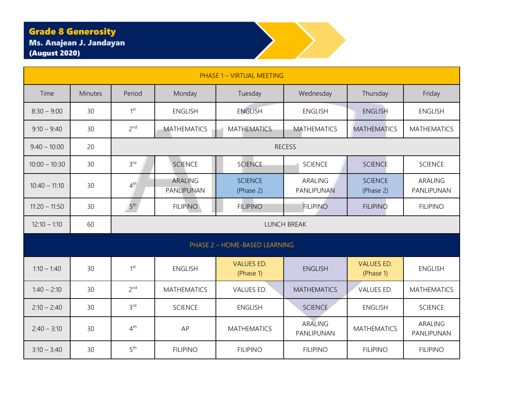## Grade 8 Generosity

Ms. Anajean J. Jandayan (August 2020)



| <b>PHASE 1 - VIRTUAL MEETING</b> |                |                 |                              |                                |                              |                                |                              |  |  |  |
|----------------------------------|----------------|-----------------|------------------------------|--------------------------------|------------------------------|--------------------------------|------------------------------|--|--|--|
| Time                             | <b>Minutes</b> | Period          | Monday                       | Tuesday                        | Wednesday                    | Thursday                       | Friday                       |  |  |  |
| $8:30 - 9:00$                    | 30             | 1 <sup>st</sup> | <b>ENGLISH</b>               | <b>ENGLISH</b>                 | <b>ENGLISH</b>               | <b>ENGLISH</b>                 | <b>ENGLISH</b>               |  |  |  |
| $9:10 - 9:40$                    | 30             | 2 <sup>nd</sup> | <b>MATHEMATICS</b>           | <b>MATHEMATICS</b>             | <b>MATHEMATICS</b>           | <b>MATHEMATICS</b>             | <b>MATHEMATICS</b>           |  |  |  |
| $9:40 - 10:00$                   | 20             |                 |                              |                                | <b>RECESS</b>                |                                |                              |  |  |  |
| $10:00 - 10:30$                  | 30             | 3 <sup>rd</sup> | <b>SCIENCE</b>               | <b>SCIENCE</b>                 | <b>SCIENCE</b>               | <b>SCIENCE</b>                 | <b>SCIENCE</b>               |  |  |  |
| $10:40 - 11:10$                  | 30             | 4 <sup>th</sup> | <b>ARALING</b><br>PANLIPUNAN | <b>SCIENCE</b><br>(Phase 2)    | ARALING<br>PANLIPUNAN        | <b>SCIENCE</b><br>(Phase 2)    | ARALING<br>PANLIPUNAN        |  |  |  |
| $11:20 - 11:50$                  | 30             | 5 <sup>th</sup> | <b>FILIPINO</b>              | <b>FILIPINO</b>                | <b>FILIPINO</b>              | <b>FILIPINO</b>                | <b>FILIPINO</b>              |  |  |  |
| $12:10 - 1:10$                   | 60             |                 | <b>LUNCH BREAK</b>           |                                |                              |                                |                              |  |  |  |
|                                  |                |                 |                              | PHASE 2 - HOME-BASED LEARNING  |                              |                                |                              |  |  |  |
| $1:10 - 1:40$                    | 30             | 1 <sup>st</sup> | <b>ENGLISH</b>               | <b>VALUES ED.</b><br>(Phase 1) | <b>ENGLISH</b>               | <b>VALUES ED.</b><br>(Phase 1) | <b>ENGLISH</b>               |  |  |  |
| $1:40 - 2:10$                    | 30             | 2 <sup>nd</sup> | <b>MATHEMATICS</b>           | VALUES ED.                     | <b>MATHEMATICS</b>           | VALUES ED.                     | <b>MATHEMATICS</b>           |  |  |  |
| $2:10 - 2:40$                    | 30             | 3 <sup>rd</sup> | <b>SCIENCE</b>               | <b>ENGLISH</b>                 | <b>SCIENCE</b>               | <b>ENGLISH</b>                 | <b>SCIENCE</b>               |  |  |  |
| $2:40 - 3:10$                    | 30             | 4 <sup>th</sup> | AP                           | <b>MATHEMATICS</b>             | <b>ARALING</b><br>PANLIPUNAN | <b>MATHEMATICS</b>             | <b>ARALING</b><br>PANLIPUNAN |  |  |  |
| $3:10 - 3:40$                    | 30             | 5 <sup>th</sup> | <b>FILIPINO</b>              | <b>FILIPINO</b>                | <b>FILIPINO</b>              | <b>FILIPINO</b>                | <b>FILIPINO</b>              |  |  |  |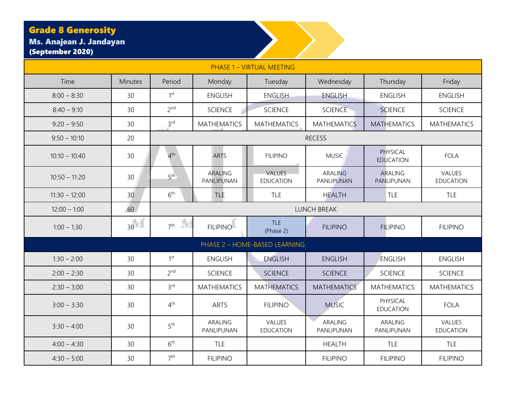#### Grade 8 Generosity

Ms. Anajean J. Jandayan (September 2020)

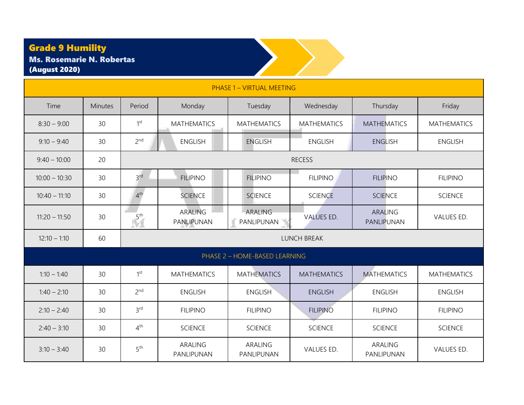## Grade 9 Humility

| <b>Grade 9 Humility</b><br><b>Ms. Rosemarie N. Robertas</b><br><b>(August 2020)</b> |         |                 |                              |                               |                    |                              |                    |  |  |  |
|-------------------------------------------------------------------------------------|---------|-----------------|------------------------------|-------------------------------|--------------------|------------------------------|--------------------|--|--|--|
| <b>PHASE 1 - VIRTUAL MEETING</b>                                                    |         |                 |                              |                               |                    |                              |                    |  |  |  |
| Time                                                                                | Minutes | Period          | Monday                       | Tuesday                       | Wednesday          | Thursday                     | Friday             |  |  |  |
| $8:30 - 9:00$                                                                       | 30      | 1 <sup>st</sup> | <b>MATHEMATICS</b>           | <b>MATHEMATICS</b>            | <b>MATHEMATICS</b> | <b>MATHEMATICS</b>           | <b>MATHEMATICS</b> |  |  |  |
| $9:10 - 9:40$                                                                       | 30      | 2 <sup>nd</sup> | <b>ENGLISH</b>               | <b>ENGLISH</b>                | <b>ENGLISH</b>     | <b>ENGLISH</b>               | <b>ENGLISH</b>     |  |  |  |
| $9:40 - 10:00$                                                                      | 20      |                 | <b>RECESS</b>                |                               |                    |                              |                    |  |  |  |
| $10:00 - 10:30$                                                                     | 30      | 3 <sup>rd</sup> | <b>FILIPINO</b>              | <b>FILIPINO</b>               | <b>FILIPINO</b>    | <b>FILIPINO</b>              | <b>FILIPINO</b>    |  |  |  |
| $10:40 - 11:10$                                                                     | 30      | 4 <sup>th</sup> | <b>SCIENCE</b>               | <b>SCIENCE</b>                | <b>SCIENCE</b>     | <b>SCIENCE</b>               | <b>SCIENCE</b>     |  |  |  |
| $11:20 - 11:50$                                                                     | 30      | 5 <sup>th</sup> | <b>ARALING</b><br>PANLIPUNAN | <b>ARALING</b><br>PANLIPUNAN  | <b>VALUES ED.</b>  | <b>ARALING</b><br>PANLIPUNAN | VALUES ED.         |  |  |  |
| $12:10 - 1:10$                                                                      | 60      |                 |                              |                               | LUNCH BREAK        |                              |                    |  |  |  |
|                                                                                     |         |                 |                              | PHASE 2 - HOME-BASED LEARNING |                    |                              |                    |  |  |  |
| $1:10 - 1:40$                                                                       | 30      | 1 <sup>st</sup> | <b>MATHEMATICS</b>           | <b>MATHEMATICS</b>            | <b>MATHEMATICS</b> | <b>MATHEMATICS</b>           | <b>MATHEMATICS</b> |  |  |  |
| $1:40 - 2:10$                                                                       | 30      | 2 <sup>nd</sup> | <b>ENGLISH</b>               | <b>ENGLISH</b>                | <b>ENGLISH</b>     | <b>ENGLISH</b>               | <b>ENGLISH</b>     |  |  |  |
| $2:10 - 2:40$                                                                       | 30      | 3 <sup>rd</sup> | <b>FILIPINO</b>              | <b>FILIPINO</b>               | <b>FILIPINO</b>    | <b>FILIPINO</b>              | <b>FILIPINO</b>    |  |  |  |
| $2:40 - 3:10$                                                                       | 30      | 4 <sup>th</sup> | <b>SCIENCE</b>               | <b>SCIENCE</b>                | <b>SCIENCE</b>     | <b>SCIENCE</b>               | <b>SCIENCE</b>     |  |  |  |
| $3:10 - 3:40$                                                                       | 30      | 5 <sup>th</sup> | <b>ARALING</b><br>PANLIPUNAN | <b>ARALING</b><br>PANLIPUNAN  | VALUES ED.         | <b>ARALING</b><br>PANLIPUNAN | VALUES ED.         |  |  |  |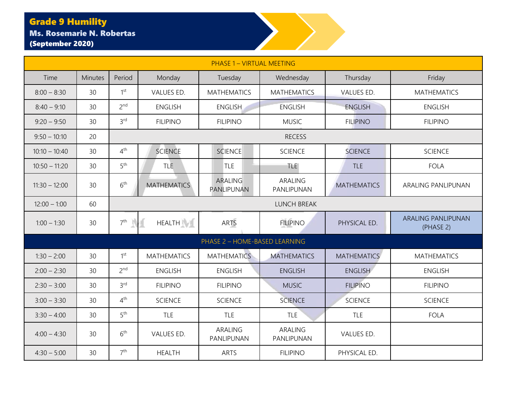#### Grade 9 Humility Ms. Rosemarie N. Robertas (September 2020)

|                 | <b>PHASE 1 - VIRTUAL MEETING</b> |                 |                    |                               |                              |                    |                                        |  |  |  |  |
|-----------------|----------------------------------|-----------------|--------------------|-------------------------------|------------------------------|--------------------|----------------------------------------|--|--|--|--|
| Time            | <b>Minutes</b>                   | Period          | Monday             | Tuesday                       | Wednesday                    | Thursday           | Friday                                 |  |  |  |  |
| $8:00 - 8:30$   | 30                               | 1 <sup>st</sup> | VALUES ED.         | <b>MATHEMATICS</b>            | <b>MATHEMATICS</b>           | VALUES ED.         | <b>MATHEMATICS</b>                     |  |  |  |  |
| $8:40 - 9:10$   | 30                               | 2 <sup>nd</sup> | <b>ENGLISH</b>     | <b>ENGLISH</b>                | <b>ENGLISH</b>               | <b>ENGLISH</b>     | <b>ENGLISH</b>                         |  |  |  |  |
| $9:20 - 9:50$   | 30                               | 3 <sup>rd</sup> | <b>FILIPINO</b>    | <b>FILIPINO</b>               | <b>MUSIC</b>                 | <b>FILIPINO</b>    | <b>FILIPINO</b>                        |  |  |  |  |
| $9:50 - 10:10$  | 20                               |                 |                    |                               | <b>RECESS</b>                |                    |                                        |  |  |  |  |
| $10:10 - 10:40$ | 30                               | 4 <sup>th</sup> | <b>SCIENCE</b>     | <b>SCIENCE</b>                | <b>SCIENCE</b>               | <b>SCIENCE</b>     | <b>SCIENCE</b>                         |  |  |  |  |
| $10:50 - 11:20$ | 30                               | 5 <sup>th</sup> | <b>TLE</b>         | <b>TLE</b>                    | <b>TLE</b>                   | <b>TLE</b>         | <b>FOLA</b>                            |  |  |  |  |
| $11:30 - 12:00$ | 30                               | 6 <sup>th</sup> | <b>MATHEMATICS</b> | ARALING<br>PANLIPUNAN         | <b>ARALING</b><br>PANLIPUNAN | <b>MATHEMATICS</b> | ARALING PANLIPUNAN                     |  |  |  |  |
| $12:00 - 1:00$  | 60                               |                 | <b>LUNCH BREAK</b> |                               |                              |                    |                                        |  |  |  |  |
| $1:00 - 1:30$   | 30                               | 7 <sup>th</sup> | <b>HEALTH</b>      | <b>ARTS</b>                   | <b>FILIPINO</b>              | PHYSICAL ED.       | <b>ARALING PANLIPUNAN</b><br>(PHASE 2) |  |  |  |  |
|                 |                                  |                 |                    | PHASE 2 - HOME-BASED LEARNING |                              |                    |                                        |  |  |  |  |
| $1:30 - 2:00$   | 30                               | 1 <sup>st</sup> | <b>MATHEMATICS</b> | <b>MATHEMATICS</b>            | <b>MATHEMATICS</b>           | <b>MATHEMATICS</b> | <b>MATHEMATICS</b>                     |  |  |  |  |
| $2:00 - 2:30$   | 30                               | 2 <sup>nd</sup> | <b>ENGLISH</b>     | <b>ENGLISH</b>                | <b>ENGLISH</b>               | <b>ENGLISH</b>     | <b>ENGLISH</b>                         |  |  |  |  |
| $2:30 - 3:00$   | 30                               | 3 <sup>rd</sup> | <b>FILIPINO</b>    | <b>FILIPINO</b>               | <b>MUSIC</b>                 | <b>FILIPINO</b>    | <b>FILIPINO</b>                        |  |  |  |  |
| $3:00 - 3:30$   | 30                               | 4 <sup>th</sup> | <b>SCIENCE</b>     | <b>SCIENCE</b>                | <b>SCIENCE</b>               | <b>SCIENCE</b>     | <b>SCIENCE</b>                         |  |  |  |  |
| $3:30 - 4:00$   | 30                               | 5 <sup>th</sup> | <b>TLE</b>         | <b>TLE</b>                    | <b>TLE</b>                   | <b>TLE</b>         | <b>FOLA</b>                            |  |  |  |  |
| $4:00 - 4:30$   | 30                               | 6 <sup>th</sup> | VALUES ED.         | ARALING<br>PANLIPUNAN         | ARALING<br>PANLIPUNAN        | VALUES ED.         |                                        |  |  |  |  |
| $4:30 - 5:00$   | 30                               | 7 <sup>th</sup> | <b>HEALTH</b>      | <b>ARTS</b>                   | <b>FILIPINO</b>              | PHYSICAL ED.       |                                        |  |  |  |  |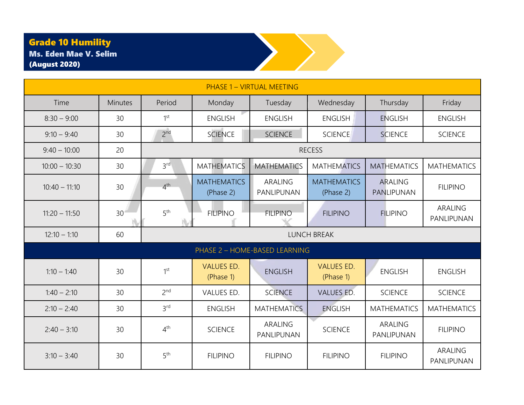## Grade 10 Humility

| <b>PHASE 1 - VIRTUAL MEETING</b> |                 |                 |                                 |                               |                                 |                              |                       |  |  |
|----------------------------------|-----------------|-----------------|---------------------------------|-------------------------------|---------------------------------|------------------------------|-----------------------|--|--|
| Time                             | <b>Minutes</b>  | Period          | Monday                          | Tuesday                       | Wednesday                       | Thursday                     | Friday                |  |  |
| $8:30 - 9:00$                    | 30              | 1 <sup>st</sup> | <b>ENGLISH</b>                  | <b>ENGLISH</b>                | <b>ENGLISH</b>                  | <b>ENGLISH</b>               | <b>ENGLISH</b>        |  |  |
| $9:10 - 9:40$                    | 30              | 2 <sup>nd</sup> | <b>SCIENCE</b>                  | <b>SCIENCE</b>                | <b>SCIENCE</b>                  | <b>SCIENCE</b>               | <b>SCIENCE</b>        |  |  |
| $9:40 - 10:00$                   | 20              |                 |                                 |                               | <b>RECESS</b>                   |                              |                       |  |  |
| $10:00 - 10:30$                  | 30              | 3 <sup>rd</sup> | <b>MATHEMATICS</b>              | <b>MATHEMATICS</b>            | <b>MATHEMATICS</b>              | <b>MATHEMATICS</b>           | <b>MATHEMATICS</b>    |  |  |
| $10:40 - 11:10$                  | 30              | 4 <sup>th</sup> | <b>MATHEMATICS</b><br>(Phase 2) | ARALING<br>PANLIPUNAN         | <b>MATHEMATICS</b><br>(Phase 2) | <b>ARALING</b><br>PANLIPUNAN | <b>FILIPINO</b>       |  |  |
| $11:20 - 11:50$                  | 30 <sup>1</sup> | 5 <sup>th</sup> | <b>FILIPINO</b>                 | <b>FILIPINO</b>               | <b>FILIPINO</b>                 | <b>FILIPINO</b>              | ARALING<br>PANLIPUNAN |  |  |
| $12:10 - 1:10$                   | 60              |                 |                                 |                               | <b>LUNCH BREAK</b>              |                              |                       |  |  |
|                                  |                 |                 |                                 | PHASE 2 - HOME-BASED LEARNING |                                 |                              |                       |  |  |
| $1:10 - 1:40$                    | 30              | 1 <sup>st</sup> | <b>VALUES ED.</b><br>(Phase 1)  | <b>ENGLISH</b>                | <b>VALUES ED.</b><br>(Phase 1)  | <b>ENGLISH</b>               | <b>ENGLISH</b>        |  |  |
| $1:40 - 2:10$                    | 30              | 2 <sub>nd</sub> | VALUES ED.                      | <b>SCIENCE</b>                | <b>VALUES ED.</b>               | <b>SCIENCE</b>               | <b>SCIENCE</b>        |  |  |
| $2:10 - 2:40$                    | 30              | 3 <sup>rd</sup> | <b>ENGLISH</b>                  | <b>MATHEMATICS</b>            | <b>ENGLISH</b>                  | <b>MATHEMATICS</b>           | <b>MATHEMATICS</b>    |  |  |
| $2:40 - 3:10$                    | 30              | 4 <sup>th</sup> | <b>SCIENCE</b>                  | ARALING<br>PANLIPUNAN         | <b>SCIENCE</b>                  | <b>ARALING</b><br>PANLIPUNAN | <b>FILIPINO</b>       |  |  |
| $3:10 - 3:40$                    | 30              | 5 <sup>th</sup> | <b>FILIPINO</b>                 | <b>FILIPINO</b>               | <b>FILIPINO</b>                 | <b>FILIPINO</b>              | ARALING<br>PANLIPUNAN |  |  |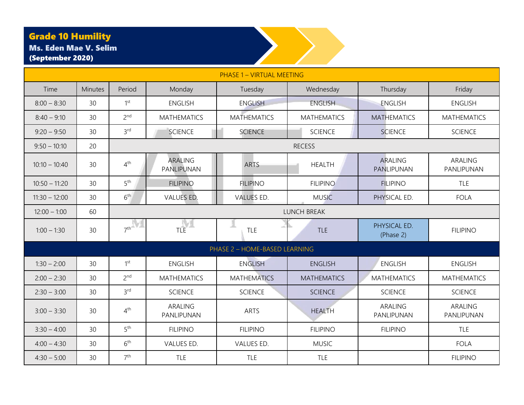## Grade 10 Humility

Ms. Eden Mae V. Selim

 $8:00 - 8:30$  30 1st

 $8:40 - 9:10$  30 2<sup>nd</sup>





| $9:20 - 9:50$   | 30 | 3 <sup>rd</sup> | <b>SCIENCE</b>               | <b>SCIENCE</b>                | <b>SCIENCE</b>     | <b>SCIENCE</b>            | <b>SCIENCE</b>        |
|-----------------|----|-----------------|------------------------------|-------------------------------|--------------------|---------------------------|-----------------------|
| $9:50 - 10:10$  | 20 |                 |                              |                               | <b>RECESS</b>      |                           |                       |
| $10:10 - 10:40$ | 30 | 4 <sup>th</sup> | <b>ARALING</b><br>PANLIPUNAN | <b>ARTS</b>                   | <b>HEALTH</b>      | ARALING<br>PANLIPUNAN     | ARALING<br>PANLIPUNAN |
| $10:50 - 11:20$ | 30 | 5 <sup>th</sup> | <b>FILIPINO</b>              | <b>FILIPINO</b>               | <b>FILIPINO</b>    | <b>FILIPINO</b>           | <b>TLE</b>            |
| $11:30 - 12:00$ | 30 | 6 <sup>th</sup> | VALUES ED.                   | VALUES ED.                    | <b>MUSIC</b>       | PHYSICAL ED.              | <b>FOLA</b>           |
| $12:00 - 1:00$  | 60 |                 |                              |                               | <b>LUNCH BREAK</b> |                           |                       |
| $1:00 - 1:30$   | 30 | 7 <sup>th</sup> | TLE                          | TLE                           | <b>TLE</b>         | PHYSICAL ED.<br>(Phase 2) | <b>FILIPINO</b>       |
|                 |    |                 |                              | PHASE 2 - HOME-BASED LEARNING |                    |                           |                       |
| $1:30 - 2:00$   | 30 | 1 <sup>st</sup> | <b>ENGLISH</b>               | <b>ENGLISH</b>                | <b>ENGLISH</b>     | <b>ENGLISH</b>            | <b>ENGLISH</b>        |
| $2:00 - 2:30$   | 30 | 2 <sup>nd</sup> | <b>MATHEMATICS</b>           | <b>MATHEMATICS</b>            | <b>MATHEMATICS</b> | <b>MATHEMATICS</b>        | <b>MATHEMATICS</b>    |
| $2:30 - 3:00$   | 30 | 3 <sup>rd</sup> | <b>SCIENCE</b>               | <b>SCIENCE</b>                | <b>SCIENCE</b>     | <b>SCIENCE</b>            | <b>SCIENCE</b>        |
| $3:00 - 3:30$   | 30 | $4^{\text{th}}$ | ARALING<br>PANLIPUNAN        | ARTS                          | <b>HEALTH</b>      | ARALING<br>PANLIPUNAN     | ARALING<br>PANLIPUNAN |
| $3:30 - 4:00$   | 30 | 5 <sup>th</sup> | <b>FILIPINO</b>              | <b>FILIPINO</b>               | <b>FILIPINO</b>    | <b>FILIPINO</b>           | <b>TLE</b>            |
| $4:00 - 4:30$   | 30 | 6 <sup>th</sup> | VALUES ED.                   | VALUES ED.                    | <b>MUSIC</b>       |                           | FOLA                  |
| $4:30 - 5:00$   | 30 | 7 <sup>th</sup> | <b>TLE</b>                   | TLE                           | <b>TLE</b>         |                           | <b>FILIPINO</b>       |